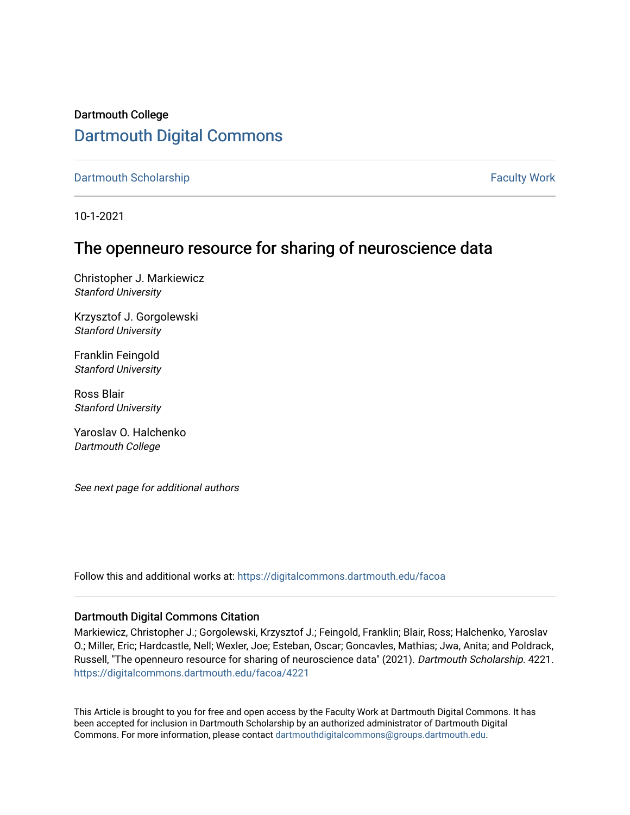Dartmouth College [Dartmouth Digital Commons](https://digitalcommons.dartmouth.edu/) 

[Dartmouth Scholarship](https://digitalcommons.dartmouth.edu/facoa) Faculty Work

10-1-2021

# The openneuro resource for sharing of neuroscience data

Christopher J. Markiewicz Stanford University

Krzysztof J. Gorgolewski Stanford University

Franklin Feingold Stanford University

Ross Blair Stanford University

Yaroslav O. Halchenko Dartmouth College

See next page for additional authors

Follow this and additional works at: [https://digitalcommons.dartmouth.edu/facoa](https://digitalcommons.dartmouth.edu/facoa?utm_source=digitalcommons.dartmouth.edu%2Ffacoa%2F4221&utm_medium=PDF&utm_campaign=PDFCoverPages)

### Dartmouth Digital Commons Citation

Markiewicz, Christopher J.; Gorgolewski, Krzysztof J.; Feingold, Franklin; Blair, Ross; Halchenko, Yaroslav O.; Miller, Eric; Hardcastle, Nell; Wexler, Joe; Esteban, Oscar; Goncavles, Mathias; Jwa, Anita; and Poldrack, Russell, "The openneuro resource for sharing of neuroscience data" (2021). Dartmouth Scholarship. 4221. [https://digitalcommons.dartmouth.edu/facoa/4221](https://digitalcommons.dartmouth.edu/facoa/4221?utm_source=digitalcommons.dartmouth.edu%2Ffacoa%2F4221&utm_medium=PDF&utm_campaign=PDFCoverPages) 

This Article is brought to you for free and open access by the Faculty Work at Dartmouth Digital Commons. It has been accepted for inclusion in Dartmouth Scholarship by an authorized administrator of Dartmouth Digital Commons. For more information, please contact [dartmouthdigitalcommons@groups.dartmouth.edu](mailto:dartmouthdigitalcommons@groups.dartmouth.edu).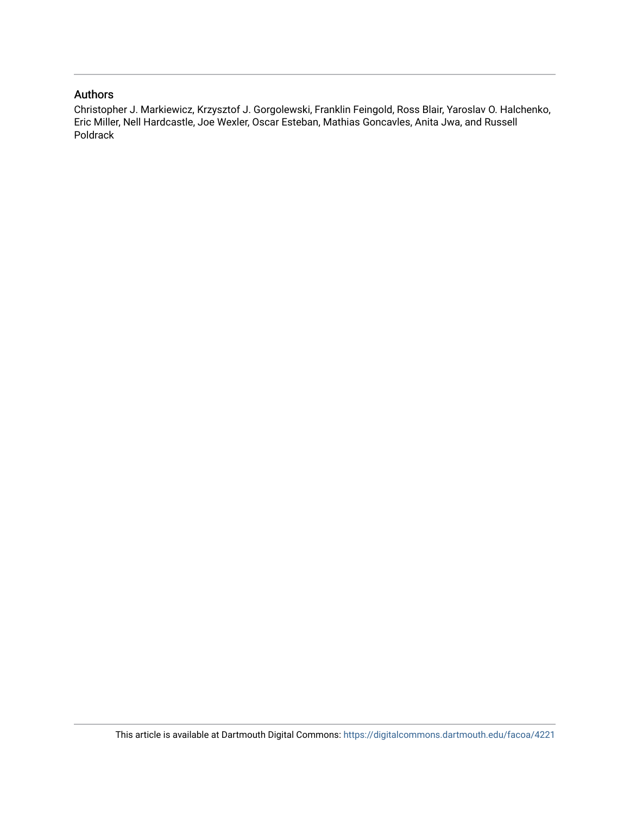### Authors

Christopher J. Markiewicz, Krzysztof J. Gorgolewski, Franklin Feingold, Ross Blair, Yaroslav O. Halchenko, Eric Miller, Nell Hardcastle, Joe Wexler, Oscar Esteban, Mathias Goncavles, Anita Jwa, and Russell Poldrack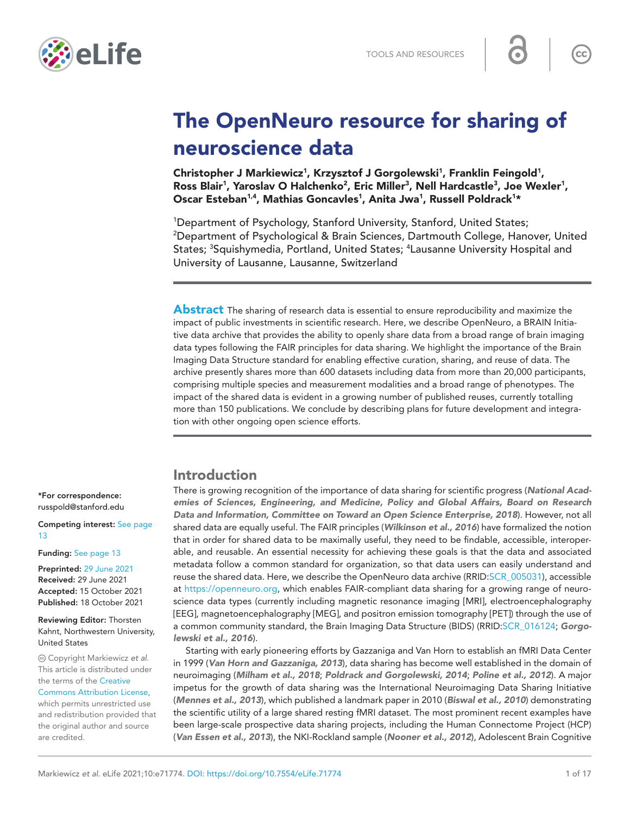

# The OpenNeuro resource for sharing of neuroscience data

Christopher J Markiewicz<sup>1</sup>, Krzysztof J Gorgolewski<sup>1</sup>, Franklin Feingold<sup>1</sup>, Ross Blair<sup>1</sup>, Yaroslav O Halchenko<sup>2</sup>, Eric Miller<sup>3</sup>, Nell Hardcastle<sup>3</sup>, Joe Wexler<sup>1</sup>, Oscar Esteban<sup>1,4</sup>, Mathias Goncavles<sup>1</sup>, Anita Jwa<sup>1</sup>, Russell Poldrack<sup>1\*</sup>

1 Department of Psychology, Stanford University, Stanford, United States; 2 Department of Psychological & Brain Sciences, Dartmouth College, Hanover, United States; <sup>3</sup>Squishymedia, Portland, United States; <sup>4</sup>Lausanne University Hospital and University of Lausanne, Lausanne, Switzerland

**Abstract** The sharing of research data is essential to ensure reproducibility and maximize the impact of public investments in scientific research. Here, we describe OpenNeuro, a BRAIN Initiative data archive that provides the ability to openly share data from a broad range of brain imaging data types following the FAIR principles for data sharing. We highlight the importance of the Brain Imaging Data Structure standard for enabling effective curation, sharing, and reuse of data. The archive presently shares more than 600 datasets including data from more than 20,000 participants, comprising multiple species and measurement modalities and a broad range of phenotypes. The impact of the shared data is evident in a growing number of published reuses, currently totalling more than 150 publications. We conclude by describing plans for future development and integration with other ongoing open science efforts.

### Introduction

There is growing recognition of the importance of data sharing for scientific progress (*[National Acad](#page-17-0)[emies of Sciences, Engineering, and Medicine, Policy and Global Affairs, Board on Research](#page-17-0) [Data and Information, Committee on Toward an Open Science Enterprise, 2018](#page-17-0)*). However, not all shared data are equally useful. The FAIR principles (*[Wilkinson et al., 2016](#page-18-0)*) have formalized the notion that in order for shared data to be maximally useful, they need to be findable, accessible, interoperable, and reusable. An essential necessity for achieving these goals is that the data and associated metadata follow a common standard for organization, so that data users can easily understand and reuse the shared data. Here, we describe the OpenNeuro data archive (RRID:[SCR\\_005031\)](https://identifiers.org/RRID/RRID:SCR_005031), accessible at [https://openneuro.org,](https://openneuro.org) which enables FAIR-compliant data sharing for a growing range of neuroscience data types (currently including magnetic resonance imaging [MRI], electroencephalography [EEG], magnetoencephalography [MEG], and positron emission tomography [PET]) through the use of a common community standard, the Brain Imaging Data Structure (BIDS) (RRID:[SCR\\_016124](https://identifiers.org/RRID/RRID:SCR_016124); *[Gorgo](#page-16-0)[lewski et al., 2016](#page-16-0)*).

Starting with early pioneering efforts by Gazzaniga and Van Horn to establish an fMRI Data Center in 1999 (*[Van Horn and Gazzaniga, 2013](#page-18-1)*), data sharing has become well established in the domain of neuroimaging (*[Milham et al., 2018](#page-16-1)*; *[Poldrack and Gorgolewski, 2014](#page-17-1)*; *[Poline et al., 2012](#page-17-2)*). A major impetus for the growth of data sharing was the International Neuroimaging Data Sharing Initiative (*[Mennes et al., 2013](#page-16-2)*), which published a landmark paper in 2010 (*[Biswal et al., 2010](#page-15-0)*) demonstrating the scientific utility of a large shared resting fMRI dataset. The most prominent recent examples have been large-scale prospective data sharing projects, including the Human Connectome Project (HCP) (*[Van Essen et al., 2013](#page-18-2)*), the NKI-Rockland sample (*[Nooner et al., 2012](#page-17-3)*), Adolescent Brain Cognitive

\*For correspondence: [russpold@stanford.edu](mailto:russpold@stanford.edu)

Competing interest: [See page](#page-14-0)  [13](#page-14-0)

#### Funding: [See page 13](#page-14-1)

Preprinted: [29 June 2021](https://doi.org/10.1101/2021.06.28.450168) Received: 29 June 2021 Accepted: 15 October 2021 Published: 18 October 2021

Reviewing Editor: Thorsten Kahnt, Northwestern University, United States

 Copyright Markiewicz *et al*. This article is distributed under the terms of the [Creative](http://creativecommons.org/licenses/by/4.0/)  [Commons Attribution License,](http://creativecommons.org/licenses/by/4.0/) which permits unrestricted use and redistribution provided that the original author and source are credited.

 $cc$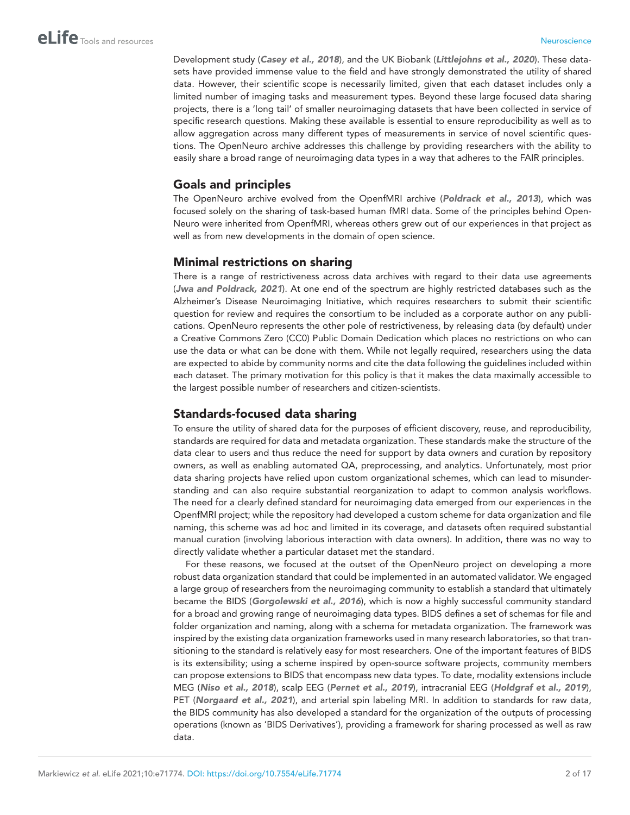Development study (*[Casey et al., 2018](#page-15-1)*), and the UK Biobank (*[Littlejohns et al., 2020](#page-16-3)*). These datasets have provided immense value to the field and have strongly demonstrated the utility of shared data. However, their scientific scope is necessarily limited, given that each dataset includes only a limited number of imaging tasks and measurement types. Beyond these large focused data sharing projects, there is a 'long tail' of smaller neuroimaging datasets that have been collected in service of specific research questions. Making these available is essential to ensure reproducibility as well as to allow aggregation across many different types of measurements in service of novel scientific questions. The OpenNeuro archive addresses this challenge by providing researchers with the ability to easily share a broad range of neuroimaging data types in a way that adheres to the FAIR principles.

### Goals and principles

The OpenNeuro archive evolved from the OpenfMRI archive (*[Poldrack et al., 2013](#page-17-4)*), which was focused solely on the sharing of task-based human fMRI data. Some of the principles behind Open-Neuro were inherited from OpenfMRI, whereas others grew out of our experiences in that project as well as from new developments in the domain of open science.

### Minimal restrictions on sharing

There is a range of restrictiveness across data archives with regard to their data use agreements (*[Jwa and Poldrack, 2021](#page-16-4)*). At one end of the spectrum are highly restricted databases such as the Alzheimer's Disease Neuroimaging Initiative, which requires researchers to submit their scientific question for review and requires the consortium to be included as a corporate author on any publications. OpenNeuro represents the other pole of restrictiveness, by releasing data (by default) under a Creative Commons Zero (CC0) Public Domain Dedication which places no restrictions on who can use the data or what can be done with them. While not legally required, researchers using the data are expected to abide by community norms and cite the data following the guidelines included within each dataset. The primary motivation for this policy is that it makes the data maximally accessible to the largest possible number of researchers and citizen-scientists.

### Standards-focused data sharing

To ensure the utility of shared data for the purposes of efficient discovery, reuse, and reproducibility, standards are required for data and metadata organization. These standards make the structure of the data clear to users and thus reduce the need for support by data owners and curation by repository owners, as well as enabling automated QA, preprocessing, and analytics. Unfortunately, most prior data sharing projects have relied upon custom organizational schemes, which can lead to misunderstanding and can also require substantial reorganization to adapt to common analysis workflows. The need for a clearly defined standard for neuroimaging data emerged from our experiences in the OpenfMRI project; while the repository had developed a custom scheme for data organization and file naming, this scheme was ad hoc and limited in its coverage, and datasets often required substantial manual curation (involving laborious interaction with data owners). In addition, there was no way to directly validate whether a particular dataset met the standard.

For these reasons, we focused at the outset of the OpenNeuro project on developing a more robust data organization standard that could be implemented in an automated validator. We engaged a large group of researchers from the neuroimaging community to establish a standard that ultimately became the BIDS (*[Gorgolewski et al., 2016](#page-16-0)*), which is now a highly successful community standard for a broad and growing range of neuroimaging data types. BIDS defines a set of schemas for file and folder organization and naming, along with a schema for metadata organization. The framework was inspired by the existing data organization frameworks used in many research laboratories, so that transitioning to the standard is relatively easy for most researchers. One of the important features of BIDS is its extensibility; using a scheme inspired by open-source software projects, community members can propose extensions to BIDS that encompass new data types. To date, modality extensions include MEG (*[Niso et al., 2018](#page-17-5)*), scalp EEG (*[Pernet et al., 2019](#page-17-6)*), intracranial EEG (*[Holdgraf et al., 2019](#page-16-5)*), PET (*[Norgaard et al., 2021](#page-17-7)*), and arterial spin labeling MRI. In addition to standards for raw data, the BIDS community has also developed a standard for the organization of the outputs of processing operations (known as 'BIDS Derivatives'), providing a framework for sharing processed as well as raw data.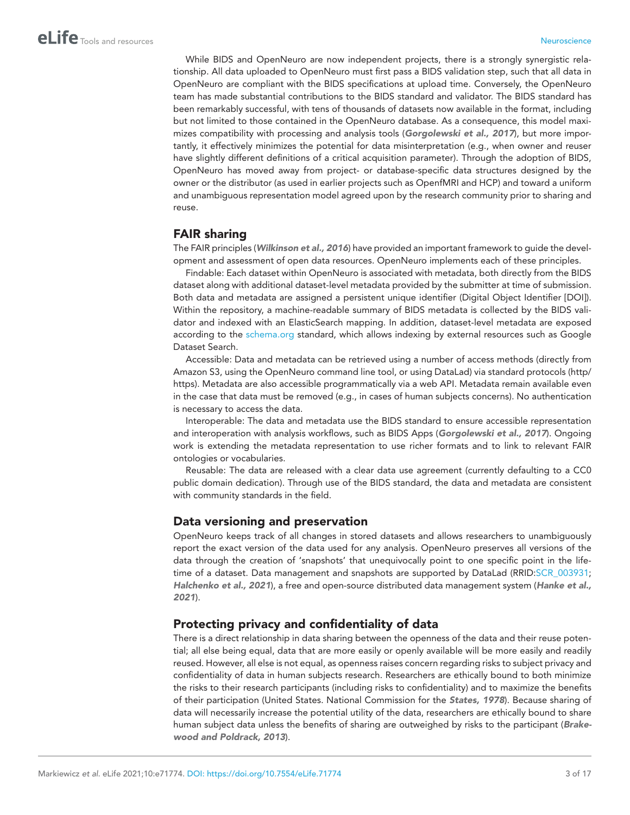While BIDS and OpenNeuro are now independent projects, there is a strongly synergistic relationship. All data uploaded to OpenNeuro must first pass a BIDS validation step, such that all data in OpenNeuro are compliant with the BIDS specifications at upload time. Conversely, the OpenNeuro team has made substantial contributions to the BIDS standard and validator. The BIDS standard has been remarkably successful, with tens of thousands of datasets now available in the format, including but not limited to those contained in the OpenNeuro database. As a consequence, this model maximizes compatibility with processing and analysis tools (*[Gorgolewski et al., 2017](#page-16-6)*), but more importantly, it effectively minimizes the potential for data misinterpretation (e.g., when owner and reuser have slightly different definitions of a critical acquisition parameter). Through the adoption of BIDS, OpenNeuro has moved away from project- or database-specific data structures designed by the owner or the distributor (as used in earlier projects such as OpenfMRI and HCP) and toward a uniform and unambiguous representation model agreed upon by the research community prior to sharing and reuse.

### FAIR sharing

The FAIR principles (*[Wilkinson et al., 2016](#page-18-0)*) have provided an important framework to guide the development and assessment of open data resources. OpenNeuro implements each of these principles.

Findable: Each dataset within OpenNeuro is associated with metadata, both directly from the BIDS dataset along with additional dataset-level metadata provided by the submitter at time of submission. Both data and metadata are assigned a persistent unique identifier (Digital Object Identifier [DOI]). Within the repository, a machine-readable summary of BIDS metadata is collected by the BIDS validator and indexed with an ElasticSearch mapping. In addition, dataset-level metadata are exposed according to the [schema.org](https://schema.org/) standard, which allows indexing by external resources such as Google Dataset Search.

Accessible: Data and metadata can be retrieved using a number of access methods (directly from Amazon S3, using the OpenNeuro command line tool, or using DataLad) via standard protocols (http/ https). Metadata are also accessible programmatically via a web API. Metadata remain available even in the case that data must be removed (e.g., in cases of human subjects concerns). No authentication is necessary to access the data.

Interoperable: The data and metadata use the BIDS standard to ensure accessible representation and interoperation with analysis workflows, such as BIDS Apps (*[Gorgolewski et al., 2017](#page-16-6)*). Ongoing work is extending the metadata representation to use richer formats and to link to relevant FAIR ontologies or vocabularies.

Reusable: The data are released with a clear data use agreement (currently defaulting to a CC0 public domain dedication). Through use of the BIDS standard, the data and metadata are consistent with community standards in the field.

### Data versioning and preservation

OpenNeuro keeps track of all changes in stored datasets and allows researchers to unambiguously report the exact version of the data used for any analysis. OpenNeuro preserves all versions of the data through the creation of 'snapshots' that unequivocally point to one specific point in the lifetime of a dataset. Data management and snapshots are supported by DataLad (RRID: SCR\_003931; *[Halchenko et al., 2021](#page-16-7)*), a free and open-source distributed data management system (*[Hanke et al.,](#page-16-8)  [2021](#page-16-8)*).

### Protecting privacy and confidentiality of data

There is a direct relationship in data sharing between the openness of the data and their reuse potential; all else being equal, data that are more easily or openly available will be more easily and readily reused. However, all else is not equal, as openness raises concern regarding risks to subject privacy and confidentiality of data in human subjects research. Researchers are ethically bound to both minimize the risks to their research participants (including risks to confidentiality) and to maximize the benefits of their participation (United States. National Commission for the *[States, 1978](#page-17-8)*). Because sharing of data will necessarily increase the potential utility of the data, researchers are ethically bound to share human subject data unless the benefits of sharing are outweighed by risks to the participant (*[Brake](#page-15-2)[wood and Poldrack, 2013](#page-15-2)*).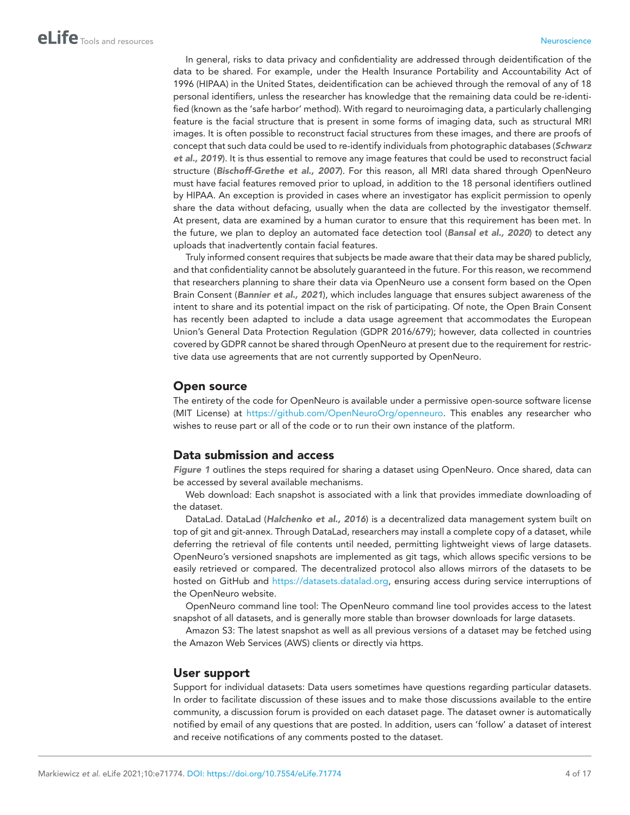In general, risks to data privacy and confidentiality are addressed through deidentification of the data to be shared. For example, under the Health Insurance Portability and Accountability Act of 1996 (HIPAA) in the United States, deidentification can be achieved through the removal of any of 18 personal identifiers, unless the researcher has knowledge that the remaining data could be re-identified (known as the 'safe harbor' method). With regard to neuroimaging data, a particularly challenging feature is the facial structure that is present in some forms of imaging data, such as structural MRI images. It is often possible to reconstruct facial structures from these images, and there are proofs of concept that such data could be used to re-identify individuals from photographic databases (*[Schwarz](#page-17-9) [et al., 2019](#page-17-9)*). It is thus essential to remove any image features that could be used to reconstruct facial structure (*[Bischoff-Grethe et al., 2007](#page-15-3)*). For this reason, all MRI data shared through OpenNeuro must have facial features removed prior to upload, in addition to the 18 personal identifiers outlined by HIPAA. An exception is provided in cases where an investigator has explicit permission to openly share the data without defacing, usually when the data are collected by the investigator themself. At present, data are examined by a human curator to ensure that this requirement has been met. In the future, we plan to deploy an automated face detection tool (*[Bansal et al., 2020](#page-15-4)*) to detect any uploads that inadvertently contain facial features.

Truly informed consent requires that subjects be made aware that their data may be shared publicly, and that confidentiality cannot be absolutely guaranteed in the future. For this reason, we recommend that researchers planning to share their data via OpenNeuro use a consent form based on the Open Brain Consent (*[Bannier et al., 2021](#page-15-5)*), which includes language that ensures subject awareness of the intent to share and its potential impact on the risk of participating. Of note, the Open Brain Consent has recently been adapted to include a data usage agreement that accommodates the European Union's General Data Protection Regulation (GDPR 2016/679); however, data collected in countries covered by GDPR cannot be shared through OpenNeuro at present due to the requirement for restrictive data use agreements that are not currently supported by OpenNeuro.

#### Open source

The entirety of the code for OpenNeuro is available under a permissive open-source software license (MIT License) at [https://github.com/OpenNeuroOrg/openneuro.](https://github.com/OpenNeuroOrg/openneuro) This enables any researcher who wishes to reuse part or all of the code or to run their own instance of the platform.

#### Data submission and access

*[Figure 1](#page-6-0)* outlines the steps required for sharing a dataset using OpenNeuro. Once shared, data can be accessed by several available mechanisms.

Web download: Each snapshot is associated with a link that provides immediate downloading of the dataset.

DataLad. DataLad (*[Halchenko et al., 2016](#page-16-9)*) is a decentralized data management system built on top of git and git-annex. Through DataLad, researchers may install a complete copy of a dataset, while deferring the retrieval of file contents until needed, permitting lightweight views of large datasets. OpenNeuro's versioned snapshots are implemented as git tags, which allows specific versions to be easily retrieved or compared. The decentralized protocol also allows mirrors of the datasets to be hosted on GitHub and [https://datasets.datalad.org,](https://datasets.datalad.org) ensuring access during service interruptions of the OpenNeuro website.

OpenNeuro command line tool: The OpenNeuro command line tool provides access to the latest snapshot of all datasets, and is generally more stable than browser downloads for large datasets.

Amazon S3: The latest snapshot as well as all previous versions of a dataset may be fetched using the Amazon Web Services (AWS) clients or directly via https.

#### User support

Support for individual datasets: Data users sometimes have questions regarding particular datasets. In order to facilitate discussion of these issues and to make those discussions available to the entire community, a discussion forum is provided on each dataset page. The dataset owner is automatically notified by email of any questions that are posted. In addition, users can 'follow' a dataset of interest and receive notifications of any comments posted to the dataset.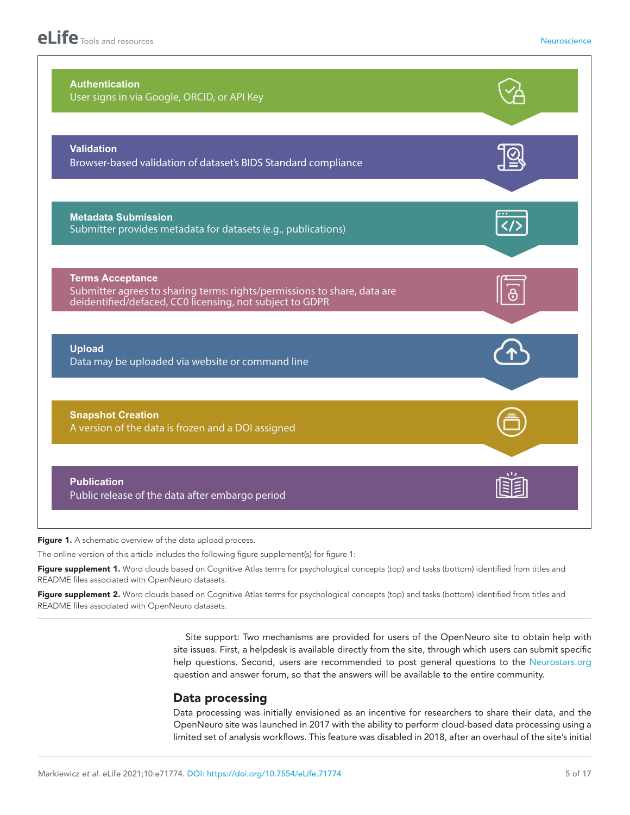| <b>Authentication</b><br>User signs in via Google, ORCID, or API Key                                                                                            |             |
|-----------------------------------------------------------------------------------------------------------------------------------------------------------------|-------------|
| <b>Validation</b><br>Browser-based validation of dataset's BIDS Standard compliance                                                                             |             |
| <b>Metadata Submission</b><br>Submitter provides metadata for datasets (e.g., publications)                                                                     | $\langle$ / |
| <b>Terms Acceptance</b><br>Submitter agrees to sharing terms: rights/permissions to share, data are<br>deidentified/defaced, CC0 licensing, not subject to GDPR | မှ          |
| <b>Upload</b><br>Data may be uploaded via website or command line                                                                                               |             |
| <b>Snapshot Creation</b><br>A version of the data is frozen and a DOI assigned                                                                                  |             |
| <b>Publication</b>                                                                                                                                              |             |

<span id="page-6-0"></span>Figure 1. A schematic overview of the data upload process.

The online version of this article includes the following figure supplement(s) for figure 1:

Figure supplement 1. Word clouds based on Cognitive Atlas terms for psychological concepts (top) and tasks (bottom) identified from titles and README files associated with OpenNeuro datasets.

<span id="page-6-1"></span>Figure supplement 2. Word clouds based on Cognitive Atlas terms for psychological concepts (top) and tasks (bottom) identified from titles and README files associated with OpenNeuro datasets.

> Site support: Two mechanisms are provided for users of the OpenNeuro site to obtain help with site issues. First, a helpdesk is available directly from the site, through which users can submit specific help questions. Second, users are recommended to post general questions to the [Neurostars.org](https://Neurostars.org) question and answer forum, so that the answers will be available to the entire community.

### Data processing

Data processing was initially envisioned as an incentive for researchers to share their data, and the OpenNeuro site was launched in 2017 with the ability to perform cloud-based data processing using a limited set of analysis workflows. This feature was disabled in 2018, after an overhaul of the site's initial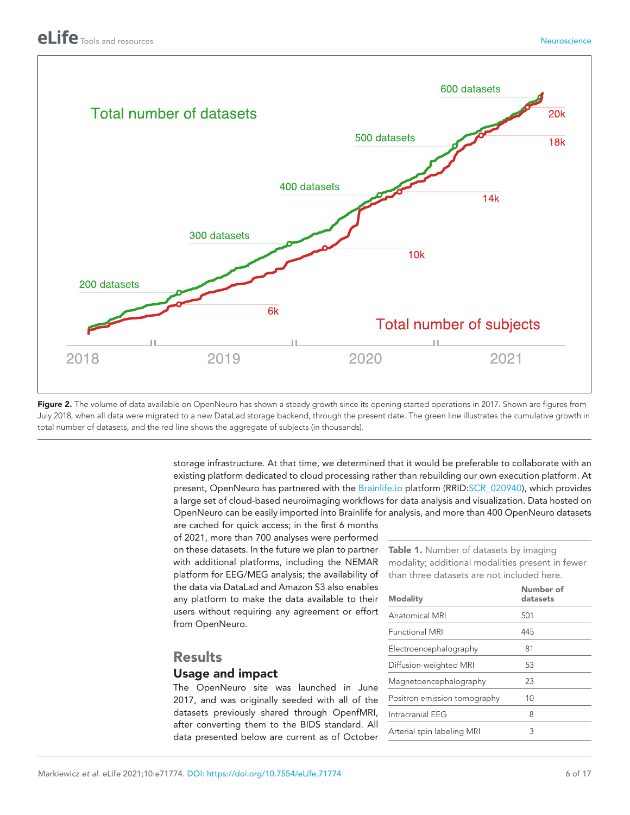

<span id="page-7-0"></span>Figure 2. The volume of data available on OpenNeuro has shown a steady growth since its opening started operations in 2017. Shown are figures from July 2018, when all data were migrated to a new DataLad storage backend, through the present date. The green line illustrates the cumulative growth in total number of datasets, and the red line shows the aggregate of subjects (in thousands).

> storage infrastructure. At that time, we determined that it would be preferable to collaborate with an existing platform dedicated to cloud processing rather than rebuilding our own execution platform. At present, OpenNeuro has partnered with the [Brainlife.io](https://brainlife.io/) platform (RRID:[SCR\\_020940](https://identifiers.org/RRID/RRID:SCR_020940)), which provides a large set of cloud-based neuroimaging workflows for data analysis and visualization. Data hosted on OpenNeuro can be easily imported into Brainlife for analysis, and more than 400 OpenNeuro datasets

are cached for quick access; in the first 6 months of 2021, more than 700 analyses were performed on these datasets. In the future we plan to partner with additional platforms, including the NEMAR platform for EEG/MEG analysis; the availability of the data via DataLad and Amazon S3 also enables any platform to make the data available to their users without requiring any agreement or effort from OpenNeuro.

### **Results**

### Usage and impact

The OpenNeuro site was launched in June 2017, and was originally seeded with all of the datasets previously shared through OpenfMRI, after converting them to the BIDS standard. All data presented below are current as of October <span id="page-7-1"></span>Table 1. Number of datasets by imaging modality; additional modalities present in fewer than three datasets are not included here.

| Number of<br>datasets |
|-----------------------|
| 501                   |
| 445                   |
| 81                    |
| 53                    |
| 23                    |
| 10                    |
| 8                     |
| 3                     |
|                       |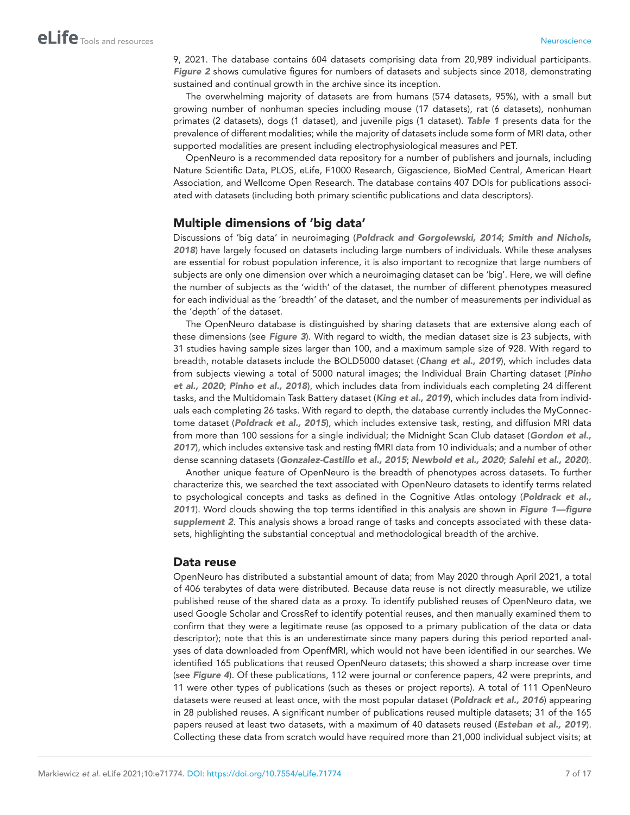9, 2021. The database contains 604 datasets comprising data from 20,989 individual participants. *[Figure 2](#page-7-0)* shows cumulative figures for numbers of datasets and subjects since 2018, demonstrating sustained and continual growth in the archive since its inception.

The overwhelming majority of datasets are from humans (574 datasets, 95%), with a small but growing number of nonhuman species including mouse (17 datasets), rat (6 datasets), nonhuman primates (2 datasets), dogs (1 dataset), and juvenile pigs (1 dataset). *[Table 1](#page-7-1)* presents data for the prevalence of different modalities; while the majority of datasets include some form of MRI data, other supported modalities are present including electrophysiological measures and PET.

OpenNeuro is a recommended data repository for a number of publishers and journals, including Nature Scientific Data, PLOS, eLife, F1000 Research, Gigascience, BioMed Central, American Heart Association, and Wellcome Open Research. The database contains 407 DOIs for publications associated with datasets (including both primary scientific publications and data descriptors).

### Multiple dimensions of 'big data'

Discussions of 'big data' in neuroimaging (*[Poldrack and Gorgolewski, 2014](#page-17-1)*; *[Smith and Nichols,](#page-17-10) [2018](#page-17-10)*) have largely focused on datasets including large numbers of individuals. While these analyses are essential for robust population inference, it is also important to recognize that large numbers of subjects are only one dimension over which a neuroimaging dataset can be 'big'. Here, we will define the number of subjects as the 'width' of the dataset, the number of different phenotypes measured for each individual as the 'breadth' of the dataset, and the number of measurements per individual as the 'depth' of the dataset.

The OpenNeuro database is distinguished by sharing datasets that are extensive along each of these dimensions (see *[Figure 3](#page-9-0)*). With regard to width, the median dataset size is 23 subjects, with 31 studies having sample sizes larger than 100, and a maximum sample size of 928. With regard to breadth, notable datasets include the BOLD5000 dataset (*[Chang et al., 2019](#page-15-6)*), which includes data from subjects viewing a total of 5000 natural images; the Individual Brain Charting dataset (*[Pinho](#page-17-11) [et al., 2020](#page-17-11)*; *[Pinho et al., 2018](#page-17-12)*), which includes data from individuals each completing 24 different tasks, and the Multidomain Task Battery dataset (*[King et al., 2019](#page-16-10)*), which includes data from individuals each completing 26 tasks. With regard to depth, the database currently includes the MyConnectome dataset (*[Poldrack et al., 2015](#page-17-13)*), which includes extensive task, resting, and diffusion MRI data from more than 100 sessions for a single individual; the Midnight Scan Club dataset (*[Gordon et al.,](#page-16-11)  [2017](#page-16-11)*), which includes extensive task and resting fMRI data from 10 individuals; and a number of other dense scanning datasets (*[Gonzalez-Castillo et al., 2015](#page-15-7)*; *[Newbold et al., 2020](#page-17-14)*; *[Salehi et al., 2020](#page-17-15)*).

Another unique feature of OpenNeuro is the breadth of phenotypes across datasets. To further characterize this, we searched the text associated with OpenNeuro datasets to identify terms related to psychological concepts and tasks as defined in the Cognitive Atlas ontology (*[Poldrack et al.,](#page-17-16)  [2011](#page-17-16)*). Word clouds showing the top terms identified in this analysis are shown in *[Figure 1—figure](#page-6-1)  [supplement 2](#page-6-1)*. This analysis shows a broad range of tasks and concepts associated with these datasets, highlighting the substantial conceptual and methodological breadth of the archive.

#### Data reuse

OpenNeuro has distributed a substantial amount of data; from May 2020 through April 2021, a total of 406 terabytes of data were distributed. Because data reuse is not directly measurable, we utilize published reuse of the shared data as a proxy. To identify published reuses of OpenNeuro data, we used Google Scholar and CrossRef to identify potential reuses, and then manually examined them to confirm that they were a legitimate reuse (as opposed to a primary publication of the data or data descriptor); note that this is an underestimate since many papers during this period reported analyses of data downloaded from OpenfMRI, which would not have been identified in our searches. We identified 165 publications that reused OpenNeuro datasets; this showed a sharp increase over time (see *[Figure 4](#page-10-0)*). Of these publications, 112 were journal or conference papers, 42 were preprints, and 11 were other types of publications (such as theses or project reports). A total of 111 OpenNeuro datasets were reused at least once, with the most popular dataset (*[Poldrack et al., 2016](#page-17-17)*) appearing in 28 published reuses. A significant number of publications reused multiple datasets; 31 of the 165 papers reused at least two datasets, with a maximum of 40 datasets reused (*[Esteban et al., 2019](#page-15-8)*). Collecting these data from scratch would have required more than 21,000 individual subject visits; at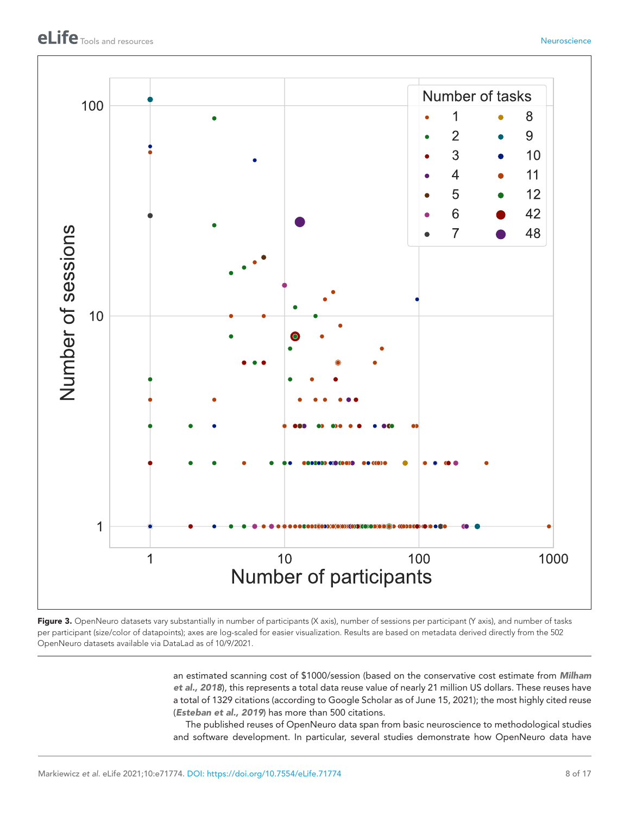

<span id="page-9-0"></span>Figure 3. OpenNeuro datasets vary substantially in number of participants (X axis), number of sessions per participant (Y axis), and number of tasks per participant (size/color of datapoints); axes are log-scaled for easier visualization. Results are based on metadata derived directly from the 502 OpenNeuro datasets available via DataLad as of 10/9/2021.

> an estimated scanning cost of \$1000/session (based on the conservative cost estimate from *[Milham](#page-16-1)  [et al., 2018](#page-16-1)*), this represents a total data reuse value of nearly 21 million US dollars. These reuses have a total of 1329 citations (according to Google Scholar as of June 15, 2021); the most highly cited reuse (*[Esteban et al., 2019](#page-15-8)*) has more than 500 citations.

> The published reuses of OpenNeuro data span from basic neuroscience to methodological studies and software development. In particular, several studies demonstrate how OpenNeuro data have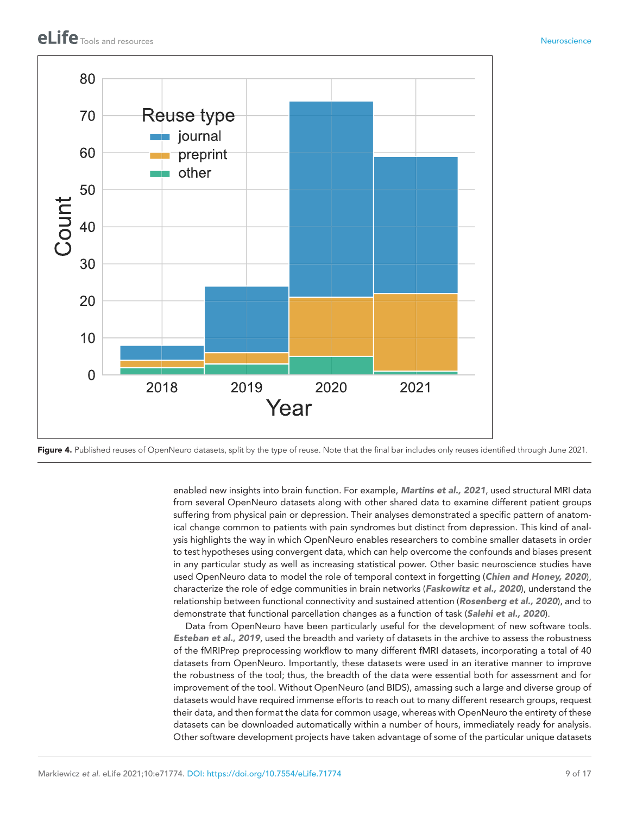

<span id="page-10-0"></span>Figure 4. Published reuses of OpenNeuro datasets, split by the type of reuse. Note that the final bar includes only reuses identified through June 2021.

enabled new insights into brain function. For example, *[Martins et al., 2021](#page-16-12)*, used structural MRI data from several OpenNeuro datasets along with other shared data to examine different patient groups suffering from physical pain or depression. Their analyses demonstrated a specific pattern of anatomical change common to patients with pain syndromes but distinct from depression. This kind of analysis highlights the way in which OpenNeuro enables researchers to combine smaller datasets in order to test hypotheses using convergent data, which can help overcome the confounds and biases present in any particular study as well as increasing statistical power. Other basic neuroscience studies have used OpenNeuro data to model the role of temporal context in forgetting (*[Chien and Honey, 2020](#page-15-9)*), characterize the role of edge communities in brain networks (*[Faskowitz et al., 2020](#page-15-10)*), understand the relationship between functional connectivity and sustained attention (*[Rosenberg et al., 2020](#page-17-18)*), and to demonstrate that functional parcellation changes as a function of task (*[Salehi et al., 2020](#page-17-15)*).

Data from OpenNeuro have been particularly useful for the development of new software tools. *[Esteban et al., 2019](#page-15-8)*, used the breadth and variety of datasets in the archive to assess the robustness of the fMRIPrep preprocessing workflow to many different fMRI datasets, incorporating a total of 40 datasets from OpenNeuro. Importantly, these datasets were used in an iterative manner to improve the robustness of the tool; thus, the breadth of the data were essential both for assessment and for improvement of the tool. Without OpenNeuro (and BIDS), amassing such a large and diverse group of datasets would have required immense efforts to reach out to many different research groups, request their data, and then format the data for common usage, whereas with OpenNeuro the entirety of these datasets can be downloaded automatically within a number of hours, immediately ready for analysis. Other software development projects have taken advantage of some of the particular unique datasets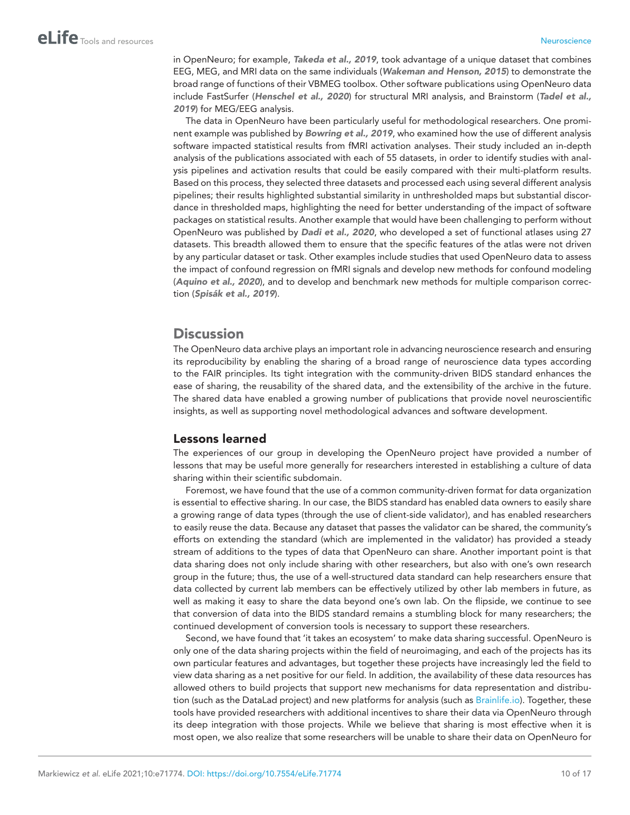in OpenNeuro; for example, *[Takeda et al., 2019](#page-18-3)*, took advantage of a unique dataset that combines EEG, MEG, and MRI data on the same individuals (*[Wakeman and Henson, 2015](#page-18-4)*) to demonstrate the broad range of functions of their VBMEG toolbox. Other software publications using OpenNeuro data include FastSurfer (*[Henschel et al., 2020](#page-16-13)*) for structural MRI analysis, and Brainstorm (*[Tadel et al.,](#page-18-5)  [2019](#page-18-5)*) for MEG/EEG analysis.

The data in OpenNeuro have been particularly useful for methodological researchers. One prominent example was published by *[Bowring et al., 2019](#page-15-11)*, who examined how the use of different analysis software impacted statistical results from fMRI activation analyses. Their study included an in-depth analysis of the publications associated with each of 55 datasets, in order to identify studies with analysis pipelines and activation results that could be easily compared with their multi-platform results. Based on this process, they selected three datasets and processed each using several different analysis pipelines; their results highlighted substantial similarity in unthresholded maps but substantial discordance in thresholded maps, highlighting the need for better understanding of the impact of software packages on statistical results. Another example that would have been challenging to perform without OpenNeuro was published by *[Dadi et al., 2020](#page-15-12)*, who developed a set of functional atlases using 27 datasets. This breadth allowed them to ensure that the specific features of the atlas were not driven by any particular dataset or task. Other examples include studies that used OpenNeuro data to assess the impact of confound regression on fMRI signals and develop new methods for confound modeling (*[Aquino et al., 2020](#page-15-13)*), and to develop and benchmark new methods for multiple comparison correction (*[Spisák et al., 2019](#page-17-19)*).

### **Discussion**

The OpenNeuro data archive plays an important role in advancing neuroscience research and ensuring its reproducibility by enabling the sharing of a broad range of neuroscience data types according to the FAIR principles. Its tight integration with the community-driven BIDS standard enhances the ease of sharing, the reusability of the shared data, and the extensibility of the archive in the future. The shared data have enabled a growing number of publications that provide novel neuroscientific insights, as well as supporting novel methodological advances and software development.

### Lessons learned

The experiences of our group in developing the OpenNeuro project have provided a number of lessons that may be useful more generally for researchers interested in establishing a culture of data sharing within their scientific subdomain.

Foremost, we have found that the use of a common community-driven format for data organization is essential to effective sharing. In our case, the BIDS standard has enabled data owners to easily share a growing range of data types (through the use of client-side validator), and has enabled researchers to easily reuse the data. Because any dataset that passes the validator can be shared, the community's efforts on extending the standard (which are implemented in the validator) has provided a steady stream of additions to the types of data that OpenNeuro can share. Another important point is that data sharing does not only include sharing with other researchers, but also with one's own research group in the future; thus, the use of a well-structured data standard can help researchers ensure that data collected by current lab members can be effectively utilized by other lab members in future, as well as making it easy to share the data beyond one's own lab. On the flipside, we continue to see that conversion of data into the BIDS standard remains a stumbling block for many researchers; the continued development of conversion tools is necessary to support these researchers.

Second, we have found that 'it takes an ecosystem' to make data sharing successful. OpenNeuro is only one of the data sharing projects within the field of neuroimaging, and each of the projects has its own particular features and advantages, but together these projects have increasingly led the field to view data sharing as a net positive for our field. In addition, the availability of these data resources has allowed others to build projects that support new mechanisms for data representation and distribution (such as the DataLad project) and new platforms for analysis (such as [Brainlife.io](https://brainlife.io/)). Together, these tools have provided researchers with additional incentives to share their data via OpenNeuro through its deep integration with those projects. While we believe that sharing is most effective when it is most open, we also realize that some researchers will be unable to share their data on OpenNeuro for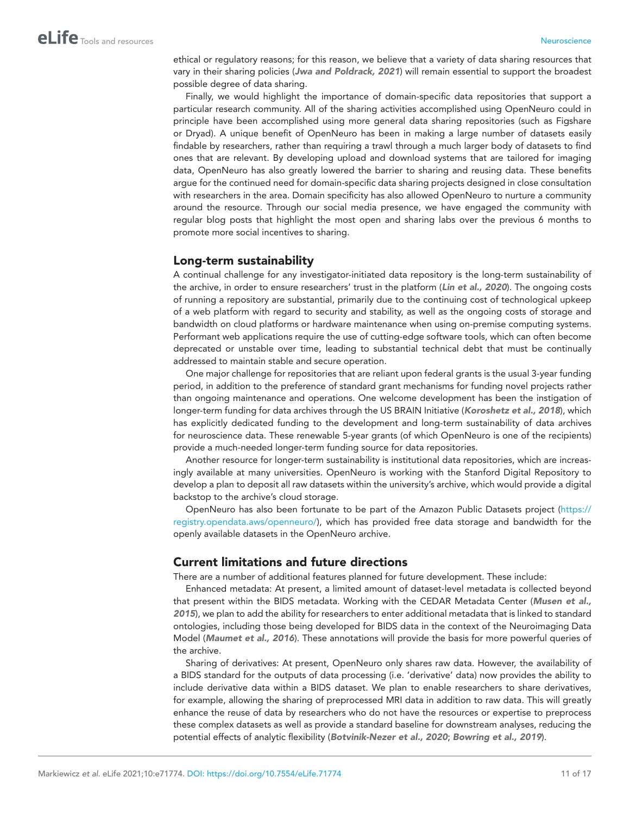ethical or regulatory reasons; for this reason, we believe that a variety of data sharing resources that vary in their sharing policies (*[Jwa and Poldrack, 2021](#page-16-4)*) will remain essential to support the broadest possible degree of data sharing.

Finally, we would highlight the importance of domain-specific data repositories that support a particular research community. All of the sharing activities accomplished using OpenNeuro could in principle have been accomplished using more general data sharing repositories (such as Figshare or Dryad). A unique benefit of OpenNeuro has been in making a large number of datasets easily findable by researchers, rather than requiring a trawl through a much larger body of datasets to find ones that are relevant. By developing upload and download systems that are tailored for imaging data, OpenNeuro has also greatly lowered the barrier to sharing and reusing data. These benefits argue for the continued need for domain-specific data sharing projects designed in close consultation with researchers in the area. Domain specificity has also allowed OpenNeuro to nurture a community around the resource. Through our social media presence, we have engaged the community with regular blog posts that highlight the most open and sharing labs over the previous 6 months to promote more social incentives to sharing.

#### Long-term sustainability

A continual challenge for any investigator-initiated data repository is the long-term sustainability of the archive, in order to ensure researchers' trust in the platform (*[Lin et al., 2020](#page-16-14)*). The ongoing costs of running a repository are substantial, primarily due to the continuing cost of technological upkeep of a web platform with regard to security and stability, as well as the ongoing costs of storage and bandwidth on cloud platforms or hardware maintenance when using on-premise computing systems. Performant web applications require the use of cutting-edge software tools, which can often become deprecated or unstable over time, leading to substantial technical debt that must be continually addressed to maintain stable and secure operation.

One major challenge for repositories that are reliant upon federal grants is the usual 3-year funding period, in addition to the preference of standard grant mechanisms for funding novel projects rather than ongoing maintenance and operations. One welcome development has been the instigation of longer-term funding for data archives through the US BRAIN Initiative (*[Koroshetz et al., 2018](#page-16-15)*), which has explicitly dedicated funding to the development and long-term sustainability of data archives for neuroscience data. These renewable 5-year grants (of which OpenNeuro is one of the recipients) provide a much-needed longer-term funding source for data repositories.

Another resource for longer-term sustainability is institutional data repositories, which are increasingly available at many universities. OpenNeuro is working with the Stanford Digital Repository to develop a plan to deposit all raw datasets within the university's archive, which would provide a digital backstop to the archive's cloud storage.

OpenNeuro has also been fortunate to be part of the Amazon Public Datasets project [\(https://](https://registry.opendata.aws/openneuro/) [registry.opendata.aws/openneuro/\)](https://registry.opendata.aws/openneuro/), which has provided free data storage and bandwidth for the openly available datasets in the OpenNeuro archive.

#### Current limitations and future directions

There are a number of additional features planned for future development. These include:

Enhanced metadata: At present, a limited amount of dataset-level metadata is collected beyond that present within the BIDS metadata. Working with the CEDAR Metadata Center (*[Musen et al.,](#page-16-16) [2015](#page-16-16)*), we plan to add the ability for researchers to enter additional metadata that is linked to standard ontologies, including those being developed for BIDS data in the context of the Neuroimaging Data Model (*[Maumet et al., 2016](#page-16-17)*). These annotations will provide the basis for more powerful queries of the archive.

Sharing of derivatives: At present, OpenNeuro only shares raw data. However, the availability of a BIDS standard for the outputs of data processing (i.e. 'derivative' data) now provides the ability to include derivative data within a BIDS dataset. We plan to enable researchers to share derivatives, for example, allowing the sharing of preprocessed MRI data in addition to raw data. This will greatly enhance the reuse of data by researchers who do not have the resources or expertise to preprocess these complex datasets as well as provide a standard baseline for downstream analyses, reducing the potential effects of analytic flexibility (*[Botvinik-Nezer et al., 2020](#page-15-14)*; *[Bowring et al., 2019](#page-15-11)*).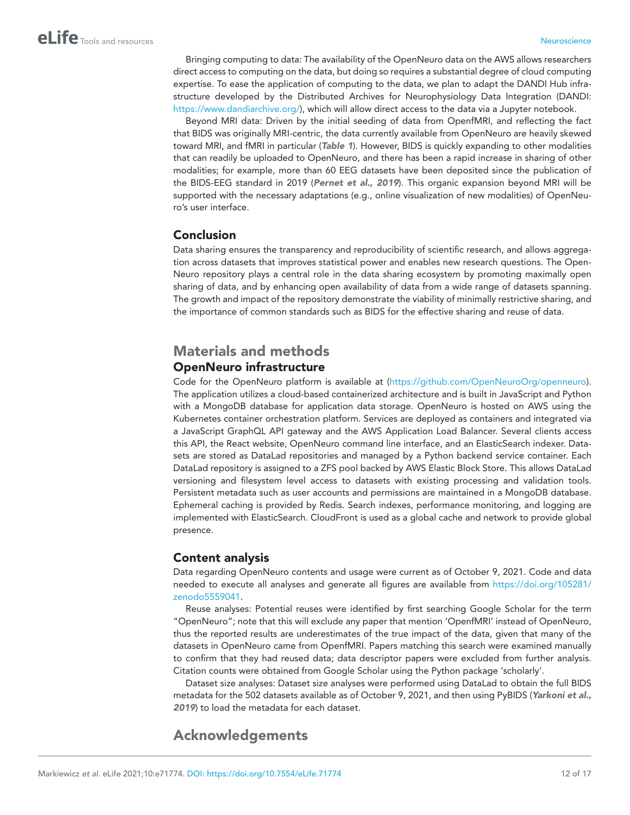Bringing computing to data: The availability of the OpenNeuro data on the AWS allows researchers direct access to computing on the data, but doing so requires a substantial degree of cloud computing expertise. To ease the application of computing to the data, we plan to adapt the DANDI Hub infrastructure developed by the Distributed Archives for Neurophysiology Data Integration (DANDI: <https://www.dandiarchive.org/>), which will allow direct access to the data via a Jupyter notebook.

Beyond MRI data: Driven by the initial seeding of data from OpenfMRI, and reflecting the fact that BIDS was originally MRI-centric, the data currently available from OpenNeuro are heavily skewed toward MRI, and fMRI in particular (*[Table 1](#page-7-1)*). However, BIDS is quickly expanding to other modalities that can readily be uploaded to OpenNeuro, and there has been a rapid increase in sharing of other modalities; for example, more than 60 EEG datasets have been deposited since the publication of the BIDS-EEG standard in 2019 (*[Pernet et al., 2019](#page-17-6)*). This organic expansion beyond MRI will be supported with the necessary adaptations (e.g., online visualization of new modalities) of OpenNeuro's user interface.

### Conclusion

Data sharing ensures the transparency and reproducibility of scientific research, and allows aggregation across datasets that improves statistical power and enables new research questions. The Open-Neuro repository plays a central role in the data sharing ecosystem by promoting maximally open sharing of data, and by enhancing open availability of data from a wide range of datasets spanning. The growth and impact of the repository demonstrate the viability of minimally restrictive sharing, and the importance of common standards such as BIDS for the effective sharing and reuse of data.

### Materials and methods OpenNeuro infrastructure

Code for the OpenNeuro platform is available at (<https://github.com/OpenNeuroOrg/openneuro>). The application utilizes a cloud-based containerized architecture and is built in JavaScript and Python with a MongoDB database for application data storage. OpenNeuro is hosted on AWS using the Kubernetes container orchestration platform. Services are deployed as containers and integrated via a JavaScript GraphQL API gateway and the AWS Application Load Balancer. Several clients access this API, the React website, OpenNeuro command line interface, and an ElasticSearch indexer. Datasets are stored as DataLad repositories and managed by a Python backend service container. Each DataLad repository is assigned to a ZFS pool backed by AWS Elastic Block Store. This allows DataLad versioning and filesystem level access to datasets with existing processing and validation tools. Persistent metadata such as user accounts and permissions are maintained in a MongoDB database. Ephemeral caching is provided by Redis. Search indexes, performance monitoring, and logging are implemented with ElasticSearch. CloudFront is used as a global cache and network to provide global presence.

### Content analysis

Data regarding OpenNeuro contents and usage were current as of October 9, 2021. Code and data needed to execute all analyses and generate all figures are available from [https://doi.org/105281/](https://doi.org/105281/zenodo5559041) [zenodo5559041.](https://doi.org/105281/zenodo5559041)

Reuse analyses: Potential reuses were identified by first searching Google Scholar for the term "OpenNeuro"; note that this will exclude any paper that mention 'OpenfMRI' instead of OpenNeuro, thus the reported results are underestimates of the true impact of the data, given that many of the datasets in OpenNeuro came from OpenfMRI. Papers matching this search were examined manually to confirm that they had reused data; data descriptor papers were excluded from further analysis. Citation counts were obtained from Google Scholar using the Python package 'scholarly'.

Dataset size analyses: Dataset size analyses were performed using DataLad to obtain the full BIDS metadata for the 502 datasets available as of October 9, 2021, and then using PyBIDS (*[Yarkoni et al.,](#page-18-6) [2019](#page-18-6)*) to load the metadata for each dataset.

# Acknowledgements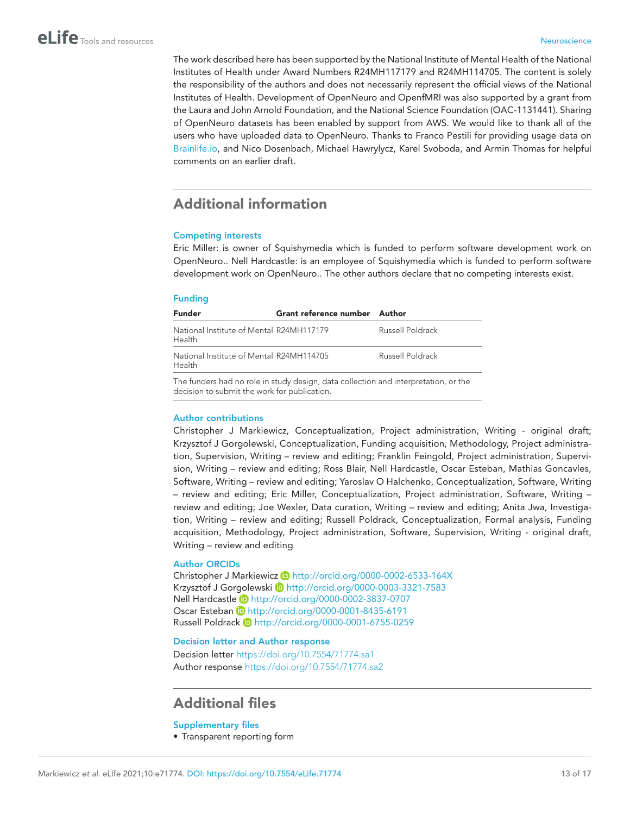The work described here has been supported by the National Institute of Mental Health of the National Institutes of Health under Award Numbers R24MH117179 and R24MH114705. The content is solely the responsibility of the authors and does not necessarily represent the official views of the National Institutes of Health. Development of OpenNeuro and OpenfMRI was also supported by a grant from the Laura and John Arnold Foundation, and the National Science Foundation (OAC-1131441). Sharing of OpenNeuro datasets has been enabled by support from AWS. We would like to thank all of the users who have uploaded data to OpenNeuro. Thanks to Franco Pestili for providing usage data on [Brainlife.io](https://brainlife.io/), and Nico Dosenbach, Michael Hawrylycz, Karel Svoboda, and Armin Thomas for helpful comments on an earlier draft.

# Additional information

#### <span id="page-14-0"></span>Competing interests

Eric Miller: is owner of Squishymedia which is funded to perform software development work on OpenNeuro.. Nell Hardcastle: is an employee of Squishymedia which is funded to perform software development work on OpenNeuro.. The other authors declare that no competing interests exist.

#### <span id="page-14-1"></span>Funding

| <b>Funder</b>                                      | Grant reference number Author                                                       |                  |
|----------------------------------------------------|-------------------------------------------------------------------------------------|------------------|
| National Institute of Mental R24MH117179<br>Health |                                                                                     | Russell Poldrack |
| National Institute of Mental R24MH114705<br>Health |                                                                                     | Russell Poldrack |
| decision to submit the work for publication.       | The funders had no role in study design, data collection and interpretation, or the |                  |

#### Author contributions

Christopher J Markiewicz, Conceptualization, Project administration, Writing - original draft; Krzysztof J Gorgolewski, Conceptualization, Funding acquisition, Methodology, Project administration, Supervision, Writing – review and editing; Franklin Feingold, Project administration, Supervision, Writing – review and editing; Ross Blair, Nell Hardcastle, Oscar Esteban, Mathias Goncavles, Software, Writing – review and editing; Yaroslav O Halchenko, Conceptualization, Software, Writing – review and editing; Eric Miller, Conceptualization, Project administration, Software, Writing – review and editing; Joe Wexler, Data curation, Writing – review and editing; Anita Jwa, Investigation, Writing – review and editing; Russell Poldrack, Conceptualization, Formal analysis, Funding acquisition, Methodology, Project administration, Software, Supervision, Writing - original draft, Writing – review and editing

#### Author ORCIDs

Christopher J Markiewicz D <http://orcid.org/0000-0002-6533-164X> Krzysztof J Gorgolewski iD <http://orcid.org/0000-0003-3321-7583> Nell Hardcastle D <http://orcid.org/0000-0002-3837-0707> Oscar Esteban **b** <http://orcid.org/0000-0001-8435-6191> Russell Poldrack **b** <http://orcid.org/0000-0001-6755-0259>

#### Decision letter and Author response

Decision letter <https://doi.org/10.7554/71774.sa1> Author response <https://doi.org/10.7554/71774.sa2>

## Additional files

#### Supplementary files

• Transparent reporting form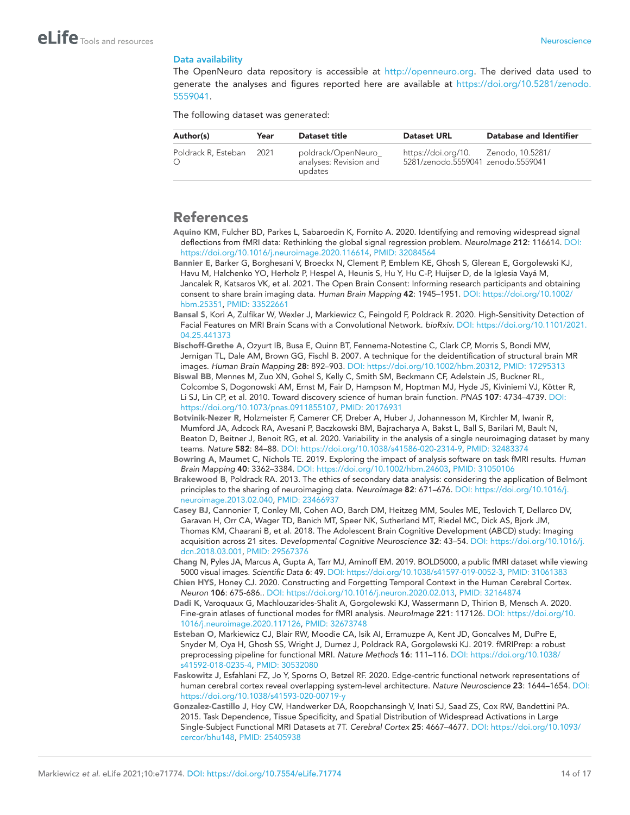#### Data availability

The OpenNeuro data repository is accessible at [http://openneuro.org.](http://openneuro.org) The derived data used to generate the analyses and figures reported here are available at [https://doi.org/10.5281/zenodo.](https://doi.org/10.5281/zenodo.5559041) [5559041.](https://doi.org/10.5281/zenodo.5559041)

The following dataset was generated:

| Author(s)           | Year | Dataset title                                            | <b>Dataset URL</b>                                                          | Database and Identifier |
|---------------------|------|----------------------------------------------------------|-----------------------------------------------------------------------------|-------------------------|
| Poldrack R, Esteban | 2021 | poldrack/OpenNeuro_<br>analyses: Revision and<br>updates | https://doi.org/10.  Zenodo, 10.5281/<br>5281/zenodo.5559041 zenodo.5559041 |                         |

### References

- <span id="page-15-13"></span>Aquino KM, Fulcher BD, Parkes L, Sabaroedin K, Fornito A. 2020. Identifying and removing widespread signal deflections from fMRI data: Rethinking the global signal regression problem. *NeuroImage* 212: 116614. DOI: <https://doi.org/10.1016/j.neuroimage.2020.116614>, PMID: [32084564](http://www.ncbi.nlm.nih.gov/pubmed/32084564)
- <span id="page-15-5"></span>Bannier E, Barker G, Borghesani V, Broeckx N, Clement P, Emblem KE, Ghosh S, Glerean E, Gorgolewski KJ, Havu M, Halchenko YO, Herholz P, Hespel A, Heunis S, Hu Y, Hu C-P, Huijser D, de la Iglesia Vayá M, Jancalek R, Katsaros VK, et al. 2021. The Open Brain Consent: Informing research participants and obtaining consent to share brain imaging data. *Human Brain Mapping* 42: 1945–1951. DOI: [https://doi.org/10.1002/](https://doi.org/10.1002/hbm.25351) [hbm.25351](https://doi.org/10.1002/hbm.25351), PMID: [33522661](http://www.ncbi.nlm.nih.gov/pubmed/33522661)
- <span id="page-15-4"></span>Bansal S, Kori A, Zulfikar W, Wexler J, Markiewicz C, Feingold F, Poldrack R. 2020. High-Sensitivity Detection of Facial Features on MRI Brain Scans with a Convolutional Network. *bioRxiv*. DOI: [https://doi.org/10.1101/2021.](https://doi.org/10.1101/2021.04.25.441373) [04.25.441373](https://doi.org/10.1101/2021.04.25.441373)
- <span id="page-15-3"></span>Bischoff-Grethe A, Ozyurt IB, Busa E, Quinn BT, Fennema-Notestine C, Clark CP, Morris S, Bondi MW, Jernigan TL, Dale AM, Brown GG, Fischl B. 2007. A technique for the deidentification of structural brain MR images. *Human Brain Mapping* 28: 892–903. DOI: [https://doi.org/10.1002/hbm.20312,](https://doi.org/10.1002/hbm.20312) PMID: [17295313](http://www.ncbi.nlm.nih.gov/pubmed/17295313)
- <span id="page-15-0"></span>Biswal BB, Mennes M, Zuo XN, Gohel S, Kelly C, Smith SM, Beckmann CF, Adelstein JS, Buckner RL, Colcombe S, Dogonowski AM, Ernst M, Fair D, Hampson M, Hoptman MJ, Hyde JS, Kiviniemi VJ, Kötter R, Li SJ, Lin CP, et al. 2010. Toward discovery science of human brain function. *PNAS* 107: 4734–4739. DOI: [https://doi.org/10.1073/pnas.0911855107,](https://doi.org/10.1073/pnas.0911855107) PMID: [20176931](http://www.ncbi.nlm.nih.gov/pubmed/20176931)
- <span id="page-15-14"></span>Botvinik-Nezer R, Holzmeister F, Camerer CF, Dreber A, Huber J, Johannesson M, Kirchler M, Iwanir R, Mumford JA, Adcock RA, Avesani P, Baczkowski BM, Bajracharya A, Bakst L, Ball S, Barilari M, Bault N, Beaton D, Beitner J, Benoit RG, et al. 2020. Variability in the analysis of a single neuroimaging dataset by many teams. *Nature* 582: 84–88. DOI: <https://doi.org/10.1038/s41586-020-2314-9>, PMID: [32483374](http://www.ncbi.nlm.nih.gov/pubmed/32483374)
- <span id="page-15-11"></span>Bowring A, Maumet C, Nichols TE. 2019. Exploring the impact of analysis software on task fMRI results. *Human Brain Mapping* 40: 3362–3384. DOI: [https://doi.org/10.1002/hbm.24603,](https://doi.org/10.1002/hbm.24603) PMID: [31050106](http://www.ncbi.nlm.nih.gov/pubmed/31050106)
- <span id="page-15-2"></span>Brakewood B, Poldrack RA. 2013. The ethics of secondary data analysis: considering the application of Belmont principles to the sharing of neuroimaging data. *NeuroImage* 82: 671–676. DOI: [https://doi.org/10.1016/j.](https://doi.org/10.1016/j.neuroimage.2013.02.040) [neuroimage.2013.02.040](https://doi.org/10.1016/j.neuroimage.2013.02.040), PMID: [23466937](http://www.ncbi.nlm.nih.gov/pubmed/23466937)
- <span id="page-15-1"></span>Casey BJ, Cannonier T, Conley MI, Cohen AO, Barch DM, Heitzeg MM, Soules ME, Teslovich T, Dellarco DV, Garavan H, Orr CA, Wager TD, Banich MT, Speer NK, Sutherland MT, Riedel MC, Dick AS, Bjork JM, Thomas KM, Chaarani B, et al. 2018. The Adolescent Brain Cognitive Development (ABCD) study: Imaging acquisition across 21 sites. *Developmental Cognitive Neuroscience* 32: 43–54. DOI: [https://doi.org/10.1016/j.](https://doi.org/10.1016/j.dcn.2018.03.001) [dcn.2018.03.001](https://doi.org/10.1016/j.dcn.2018.03.001), PMID: [29567376](http://www.ncbi.nlm.nih.gov/pubmed/29567376)
- <span id="page-15-6"></span>Chang N, Pyles JA, Marcus A, Gupta A, Tarr MJ, Aminoff EM. 2019. BOLD5000, a public fMRI dataset while viewing 5000 visual images. *Scientific Data* 6: 49. DOI: [https://doi.org/10.1038/s41597-019-0052-3,](https://doi.org/10.1038/s41597-019-0052-3) PMID: [31061383](http://www.ncbi.nlm.nih.gov/pubmed/31061383)
- <span id="page-15-9"></span>Chien HYS, Honey CJ. 2020. Constructing and Forgetting Temporal Context in the Human Cerebral Cortex. *Neuron* 106: 675-686.. DOI: <https://doi.org/10.1016/j.neuron.2020.02.013>, PMID: [32164874](http://www.ncbi.nlm.nih.gov/pubmed/32164874)
- <span id="page-15-12"></span>Dadi K, Varoquaux G, Machlouzarides-Shalit A, Gorgolewski KJ, Wassermann D, Thirion B, Mensch A. 2020. Fine-grain atlases of functional modes for fMRI analysis. *NeuroImage* 221: 117126. DOI: [https://doi.org/10.](https://doi.org/10.1016/j.neuroimage.2020.117126) [1016/j.neuroimage.2020.117126](https://doi.org/10.1016/j.neuroimage.2020.117126), PMID: [32673748](http://www.ncbi.nlm.nih.gov/pubmed/32673748)
- <span id="page-15-8"></span>Esteban O, Markiewicz CJ, Blair RW, Moodie CA, Isik AI, Erramuzpe A, Kent JD, Goncalves M, DuPre E, Snyder M, Oya H, Ghosh SS, Wright J, Durnez J, Poldrack RA, Gorgolewski KJ. 2019. fMRIPrep: a robust preprocessing pipeline for functional MRI. *Nature Methods* 16: 111–116. DOI: [https://doi.org/10.1038/](https://doi.org/10.1038/s41592-018-0235-4) [s41592-018-0235-4,](https://doi.org/10.1038/s41592-018-0235-4) PMID: [30532080](http://www.ncbi.nlm.nih.gov/pubmed/30532080)
- <span id="page-15-10"></span>Faskowitz J, Esfahlani FZ, Jo Y, Sporns O, Betzel RF. 2020. Edge-centric functional network representations of human cerebral cortex reveal overlapping system-level architecture. *Nature Neuroscience* 23: 1644–1654. DOI: <https://doi.org/10.1038/s41593-020-00719-y>
- <span id="page-15-7"></span>Gonzalez-Castillo J, Hoy CW, Handwerker DA, Roopchansingh V, Inati SJ, Saad ZS, Cox RW, Bandettini PA. 2015. Task Dependence, Tissue Specificity, and Spatial Distribution of Widespread Activations in Large Single-Subject Functional MRI Datasets at 7T. *Cerebral Cortex* 25: 4667–4677. DOI: [https://doi.org/10.1093/](https://doi.org/10.1093/cercor/bhu148) [cercor/bhu148](https://doi.org/10.1093/cercor/bhu148), PMID: [25405938](http://www.ncbi.nlm.nih.gov/pubmed/25405938)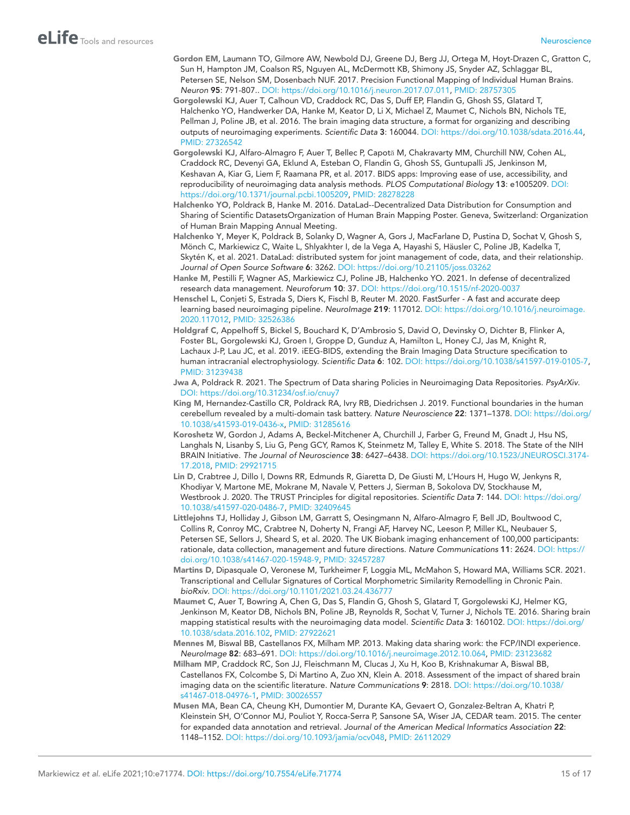- <span id="page-16-11"></span>Gordon EM, Laumann TO, Gilmore AW, Newbold DJ, Greene DJ, Berg JJ, Ortega M, Hoyt-Drazen C, Gratton C, Sun H, Hampton JM, Coalson RS, Nguyen AL, McDermott KB, Shimony JS, Snyder AZ, Schlaggar BL, Petersen SE, Nelson SM, Dosenbach NUF. 2017. Precision Functional Mapping of Individual Human Brains. *Neuron* 95: 791-807.. DOI: <https://doi.org/10.1016/j.neuron.2017.07.011>, PMID: [28757305](http://www.ncbi.nlm.nih.gov/pubmed/28757305)
- <span id="page-16-0"></span>Gorgolewski KJ, Auer T, Calhoun VD, Craddock RC, Das S, Duff EP, Flandin G, Ghosh SS, Glatard T, Halchenko YO, Handwerker DA, Hanke M, Keator D, Li X, Michael Z, Maumet C, Nichols BN, Nichols TE, Pellman J, Poline JB, et al. 2016. The brain imaging data structure, a format for organizing and describing outputs of neuroimaging experiments. *Scientific Data* 3: 160044. DOI: [https://doi.org/10.1038/sdata.2016.44,](https://doi.org/10.1038/sdata.2016.44) PMID: [27326542](http://www.ncbi.nlm.nih.gov/pubmed/27326542)
- <span id="page-16-6"></span>Gorgolewski KJ, Alfaro-Almagro F, Auer T, Bellec P, Capotă M, Chakravarty MM, Churchill NW, Cohen AL, Craddock RC, Devenyi GA, Eklund A, Esteban O, Flandin G, Ghosh SS, Guntupalli JS, Jenkinson M, Keshavan A, Kiar G, Liem F, Raamana PR, et al. 2017. BIDS apps: Improving ease of use, accessibility, and reproducibility of neuroimaging data analysis methods. *PLOS Computational Biology* 13: e1005209. DOI: [https://doi.org/10.1371/journal.pcbi.1005209,](https://doi.org/10.1371/journal.pcbi.1005209) PMID: [28278228](http://www.ncbi.nlm.nih.gov/pubmed/28278228)
- <span id="page-16-9"></span>Halchenko YO, Poldrack B, Hanke M. 2016. DataLad--Decentralized Data Distribution for Consumption and Sharing of Scientific DatasetsOrganization of Human Brain Mapping Poster. Geneva, Switzerland: Organization of Human Brain Mapping Annual Meeting.
- <span id="page-16-7"></span>Halchenko Y, Meyer K, Poldrack B, Solanky D, Wagner A, Gors J, MacFarlane D, Pustina D, Sochat V, Ghosh S, Mönch C, Markiewicz C, Waite L, Shlyakhter I, de la Vega A, Hayashi S, Häusler C, Poline JB, Kadelka T, Skytén K, et al. 2021. DataLad: distributed system for joint management of code, data, and their relationship. *Journal of Open Source Software* 6: 3262. DOI: <https://doi.org/10.21105/joss.03262>
- <span id="page-16-8"></span>Hanke M, Pestilli F, Wagner AS, Markiewicz CJ, Poline JB, Halchenko YO. 2021. In defense of decentralized research data management. *Neuroforum* 10: 37. DOI:<https://doi.org/10.1515/nf-2020-0037>
- <span id="page-16-13"></span>Henschel L, Conjeti S, Estrada S, Diers K, Fischl B, Reuter M. 2020. FastSurfer - A fast and accurate deep learning based neuroimaging pipeline. *NeuroImage* 219: 117012. DOI: [https://doi.org/10.1016/j.neuroimage.](https://doi.org/10.1016/j.neuroimage.2020.117012) [2020.117012](https://doi.org/10.1016/j.neuroimage.2020.117012), PMID: [32526386](http://www.ncbi.nlm.nih.gov/pubmed/32526386)
- <span id="page-16-5"></span>Holdgraf C, Appelhoff S, Bickel S, Bouchard K, D'Ambrosio S, David O, Devinsky O, Dichter B, Flinker A, Foster BL, Gorgolewski KJ, Groen I, Groppe D, Gunduz A, Hamilton L, Honey CJ, Jas M, Knight R, Lachaux J-P, Lau JC, et al. 2019. iEEG-BIDS, extending the Brain Imaging Data Structure specification to human intracranial electrophysiology. *Scientific Data* 6: 102. DOI: [https://doi.org/10.1038/s41597-019-0105-7,](https://doi.org/10.1038/s41597-019-0105-7) PMID: [31239438](http://www.ncbi.nlm.nih.gov/pubmed/31239438)
- <span id="page-16-4"></span>Jwa A, Poldrack R. 2021. The Spectrum of Data sharing Policies in Neuroimaging Data Repositories. *PsyArXiv*. DOI: <https://doi.org/10.31234/osf.io/cnuy7>
- <span id="page-16-10"></span>King M, Hernandez-Castillo CR, Poldrack RA, Ivry RB, Diedrichsen J. 2019. Functional boundaries in the human cerebellum revealed by a multi-domain task battery. *Nature Neuroscience* 22: 1371–1378. DOI: [https://doi.org/](https://doi.org/10.1038/s41593-019-0436-x) [10.1038/s41593-019-0436-x](https://doi.org/10.1038/s41593-019-0436-x), PMID: [31285616](http://www.ncbi.nlm.nih.gov/pubmed/31285616)
- <span id="page-16-15"></span>Koroshetz W, Gordon J, Adams A, Beckel-Mitchener A, Churchill J, Farber G, Freund M, Gnadt J, Hsu NS, Langhals N, Lisanby S, Liu G, Peng GCY, Ramos K, Steinmetz M, Talley E, White S. 2018. The State of the NIH BRAIN Initiative. *The Journal of Neuroscience* 38: 6427–6438. DOI: [https://doi.org/10.1523/JNEUROSCI.3174-](https://doi.org/10.1523/JNEUROSCI.3174-17.2018) [17.2018](https://doi.org/10.1523/JNEUROSCI.3174-17.2018), PMID: [29921715](http://www.ncbi.nlm.nih.gov/pubmed/29921715)
- <span id="page-16-14"></span>Lin D, Crabtree J, Dillo I, Downs RR, Edmunds R, Giaretta D, De Giusti M, L'Hours H, Hugo W, Jenkyns R, Khodiyar V, Martone ME, Mokrane M, Navale V, Petters J, Sierman B, Sokolova DV, Stockhause M, Westbrook J. 2020. The TRUST Principles for digital repositories. *Scientific Data* 7: 144. DOI: [https://doi.org/](https://doi.org/10.1038/s41597-020-0486-7) [10.1038/s41597-020-0486-7,](https://doi.org/10.1038/s41597-020-0486-7) PMID: [32409645](http://www.ncbi.nlm.nih.gov/pubmed/32409645)
- <span id="page-16-3"></span>Littlejohns TJ, Holliday J, Gibson LM, Garratt S, Oesingmann N, Alfaro-Almagro F, Bell JD, Boultwood C, Collins R, Conroy MC, Crabtree N, Doherty N, Frangi AF, Harvey NC, Leeson P, Miller KL, Neubauer S, Petersen SE, Sellors J, Sheard S, et al. 2020. The UK Biobank imaging enhancement of 100,000 participants: rationale, data collection, management and future directions. *Nature Communications* 11: 2624. DOI: [https://](https://doi.org/10.1038/s41467-020-15948-9) [doi.org/10.1038/s41467-020-15948-9](https://doi.org/10.1038/s41467-020-15948-9), PMID: [32457287](http://www.ncbi.nlm.nih.gov/pubmed/32457287)
- <span id="page-16-12"></span>Martins D, Dipasquale O, Veronese M, Turkheimer F, Loggia ML, McMahon S, Howard MA, Williams SCR. 2021. Transcriptional and Cellular Signatures of Cortical Morphometric Similarity Remodelling in Chronic Pain. *bioRxiv*. DOI:<https://doi.org/10.1101/2021.03.24.436777>
- <span id="page-16-17"></span>Maumet C, Auer T, Bowring A, Chen G, Das S, Flandin G, Ghosh S, Glatard T, Gorgolewski KJ, Helmer KG, Jenkinson M, Keator DB, Nichols BN, Poline JB, Reynolds R, Sochat V, Turner J, Nichols TE. 2016. Sharing brain mapping statistical results with the neuroimaging data model. *Scientific Data* 3: 160102. DOI: [https://doi.org/](https://doi.org/10.1038/sdata.2016.102) [10.1038/sdata.2016.102](https://doi.org/10.1038/sdata.2016.102), PMID: [27922621](http://www.ncbi.nlm.nih.gov/pubmed/27922621)
- <span id="page-16-2"></span>Mennes M, Biswal BB, Castellanos FX, Milham MP. 2013. Making data sharing work: the FCP/INDI experience. *NeuroImage* 82: 683–691. DOI: <https://doi.org/10.1016/j.neuroimage.2012.10.064>, PMID: [23123682](http://www.ncbi.nlm.nih.gov/pubmed/23123682)
- <span id="page-16-1"></span>Milham MP, Craddock RC, Son JJ, Fleischmann M, Clucas J, Xu H, Koo B, Krishnakumar A, Biswal BB, Castellanos FX, Colcombe S, Di Martino A, Zuo XN, Klein A. 2018. Assessment of the impact of shared brain imaging data on the scientific literature. *Nature Communications* 9: 2818. DOI: [https://doi.org/10.1038/](https://doi.org/10.1038/s41467-018-04976-1) [s41467-018-04976-1](https://doi.org/10.1038/s41467-018-04976-1), PMID: [30026557](http://www.ncbi.nlm.nih.gov/pubmed/30026557)
- <span id="page-16-16"></span>Musen MA, Bean CA, Cheung KH, Dumontier M, Durante KA, Gevaert O, Gonzalez-Beltran A, Khatri P, Kleinstein SH, O'Connor MJ, Pouliot Y, Rocca-Serra P, Sansone SA, Wiser JA, CEDAR team. 2015. The center for expanded data annotation and retrieval. *Journal of the American Medical Informatics Association* 22: 1148–1152. DOI: [https://doi.org/10.1093/jamia/ocv048,](https://doi.org/10.1093/jamia/ocv048) PMID: [26112029](http://www.ncbi.nlm.nih.gov/pubmed/26112029)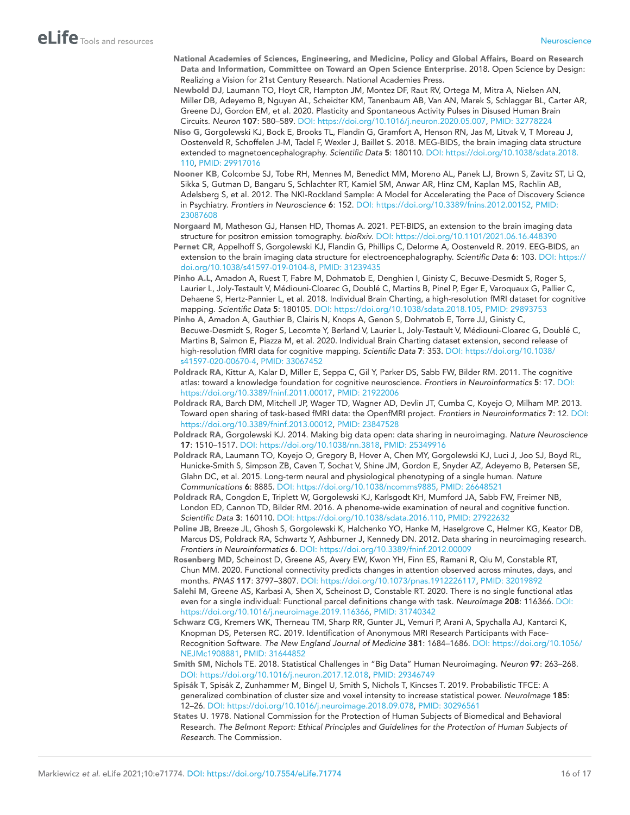- <span id="page-17-0"></span>National Academies of Sciences, Engineering, and Medicine, Policy and Global Affairs, Board on Research Data and Information, Committee on Toward an Open Science Enterprise. 2018. Open Science by Design: Realizing a Vision for 21st Century Research. National Academies Press.
- <span id="page-17-14"></span>Newbold DJ, Laumann TO, Hoyt CR, Hampton JM, Montez DF, Raut RV, Ortega M, Mitra A, Nielsen AN, Miller DB, Adeyemo B, Nguyen AL, Scheidter KM, Tanenbaum AB, Van AN, Marek S, Schlaggar BL, Carter AR, Greene DJ, Gordon EM, et al. 2020. Plasticity and Spontaneous Activity Pulses in Disused Human Brain Circuits. *Neuron* 107: 580–589. DOI: <https://doi.org/10.1016/j.neuron.2020.05.007>, PMID: [32778224](http://www.ncbi.nlm.nih.gov/pubmed/32778224)
- <span id="page-17-5"></span>Niso G, Gorgolewski KJ, Bock E, Brooks TL, Flandin G, Gramfort A, Henson RN, Jas M, Litvak V, T Moreau J, Oostenveld R, Schoffelen J-M, Tadel F, Wexler J, Baillet S. 2018. MEG-BIDS, the brain imaging data structure extended to magnetoencephalography. *Scientific Data* 5: 180110. DOI: [https://doi.org/10.1038/sdata.2018.](https://doi.org/10.1038/sdata.2018.110) [110,](https://doi.org/10.1038/sdata.2018.110) PMID: [29917016](http://www.ncbi.nlm.nih.gov/pubmed/29917016)
- <span id="page-17-3"></span>Nooner KB, Colcombe SJ, Tobe RH, Mennes M, Benedict MM, Moreno AL, Panek LJ, Brown S, Zavitz ST, Li Q, Sikka S, Gutman D, Bangaru S, Schlachter RT, Kamiel SM, Anwar AR, Hinz CM, Kaplan MS, Rachlin AB, Adelsberg S, et al. 2012. The NKI-Rockland Sample: A Model for Accelerating the Pace of Discovery Science in Psychiatry. *Frontiers in Neuroscience* 6: 152. DOI: <https://doi.org/10.3389/fnins.2012.00152>, PMID: [23087608](http://www.ncbi.nlm.nih.gov/pubmed/23087608)
- <span id="page-17-7"></span>Norgaard M, Matheson GJ, Hansen HD, Thomas A. 2021. PET-BIDS, an extension to the brain imaging data structure for positron emission tomography. *bioRxiv*. DOI: <https://doi.org/10.1101/2021.06.16.448390>
- <span id="page-17-6"></span>Pernet CR, Appelhoff S, Gorgolewski KJ, Flandin G, Phillips C, Delorme A, Oostenveld R. 2019. EEG-BIDS, an extension to the brain imaging data structure for electroencephalography. *Scientific Data* 6: 103. DOI: [https://](https://doi.org/10.1038/s41597-019-0104-8) [doi.org/10.1038/s41597-019-0104-8,](https://doi.org/10.1038/s41597-019-0104-8) PMID: [31239435](http://www.ncbi.nlm.nih.gov/pubmed/31239435)
- <span id="page-17-12"></span>Pinho A.L, Amadon A, Ruest T, Fabre M, Dohmatob E, Denghien I, Ginisty C, Becuwe-Desmidt S, Roger S, Laurier L, Joly-Testault V, Médiouni-Cloarec G, Doublé C, Martins B, Pinel P, Eger E, Varoquaux G, Pallier C, Dehaene S, Hertz-Pannier L, et al. 2018. Individual Brain Charting, a high-resolution fMRI dataset for cognitive mapping. *Scientific Data* 5: 180105. DOI: <https://doi.org/10.1038/sdata.2018.105>, PMID: [29893753](http://www.ncbi.nlm.nih.gov/pubmed/29893753)
- <span id="page-17-11"></span>Pinho A, Amadon A, Gauthier B, Clairis N, Knops A, Genon S, Dohmatob E, Torre JJ, Ginisty C, Becuwe-Desmidt S, Roger S, Lecomte Y, Berland V, Laurier L, Joly-Testault V, Médiouni-Cloarec G, Doublé C, Martins B, Salmon E, Piazza M, et al. 2020. Individual Brain Charting dataset extension, second release of high-resolution fMRI data for cognitive mapping. *Scientific Data* 7: 353. DOI: [https://doi.org/10.1038/](https://doi.org/10.1038/s41597-020-00670-4) [s41597-020-00670-4](https://doi.org/10.1038/s41597-020-00670-4), PMID: [33067452](http://www.ncbi.nlm.nih.gov/pubmed/33067452)
- <span id="page-17-16"></span>Poldrack RA, Kittur A, Kalar D, Miller E, Seppa C, Gil Y, Parker DS, Sabb FW, Bilder RM. 2011. The cognitive atlas: toward a knowledge foundation for cognitive neuroscience. *Frontiers in Neuroinformatics* 5: 17. DOI: <https://doi.org/10.3389/fninf.2011.00017>, PMID: [21922006](http://www.ncbi.nlm.nih.gov/pubmed/21922006)
- <span id="page-17-4"></span>Poldrack RA, Barch DM, Mitchell JP, Wager TD, Wagner AD, Devlin JT, Cumba C, Koyejo O, Milham MP. 2013. Toward open sharing of task-based fMRI data: the OpenfMRI project. *Frontiers in Neuroinformatics* 7: 12. DOI: <https://doi.org/10.3389/fninf.2013.00012>, PMID: [23847528](http://www.ncbi.nlm.nih.gov/pubmed/23847528)
- <span id="page-17-1"></span>Poldrack RA, Gorgolewski KJ. 2014. Making big data open: data sharing in neuroimaging. *Nature Neuroscience* 17: 1510–1517. DOI: [https://doi.org/10.1038/nn.3818,](https://doi.org/10.1038/nn.3818) PMID: [25349916](http://www.ncbi.nlm.nih.gov/pubmed/25349916)
- <span id="page-17-13"></span>Poldrack RA, Laumann TO, Koyejo O, Gregory B, Hover A, Chen MY, Gorgolewski KJ, Luci J, Joo SJ, Boyd RL, Hunicke-Smith S, Simpson ZB, Caven T, Sochat V, Shine JM, Gordon E, Snyder AZ, Adeyemo B, Petersen SE, Glahn DC, et al. 2015. Long-term neural and physiological phenotyping of a single human. *Nature Communications* 6: 8885. DOI: [https://doi.org/10.1038/ncomms9885,](https://doi.org/10.1038/ncomms9885) PMID: [26648521](http://www.ncbi.nlm.nih.gov/pubmed/26648521)
- <span id="page-17-17"></span>Poldrack RA, Congdon E, Triplett W, Gorgolewski KJ, Karlsgodt KH, Mumford JA, Sabb FW, Freimer NB, London ED, Cannon TD, Bilder RM. 2016. A phenome-wide examination of neural and cognitive function. *Scientific Data* 3: 160110. DOI: [https://doi.org/10.1038/sdata.2016.110,](https://doi.org/10.1038/sdata.2016.110) PMID: [27922632](http://www.ncbi.nlm.nih.gov/pubmed/27922632)
- <span id="page-17-2"></span>Poline JB, Breeze JL, Ghosh S, Gorgolewski K, Halchenko YO, Hanke M, Haselgrove C, Helmer KG, Keator DB, Marcus DS, Poldrack RA, Schwartz Y, Ashburner J, Kennedy DN. 2012. Data sharing in neuroimaging research. *Frontiers in Neuroinformatics* 6. DOI: <https://doi.org/10.3389/fninf.2012.00009>
- <span id="page-17-18"></span>Rosenberg MD, Scheinost D, Greene AS, Avery EW, Kwon YH, Finn ES, Ramani R, Qiu M, Constable RT, Chun MM. 2020. Functional connectivity predicts changes in attention observed across minutes, days, and months. *PNAS* 117: 3797–3807. DOI: [https://doi.org/10.1073/pnas.1912226117,](https://doi.org/10.1073/pnas.1912226117) PMID: [32019892](http://www.ncbi.nlm.nih.gov/pubmed/32019892)
- <span id="page-17-15"></span>Salehi M, Greene AS, Karbasi A, Shen X, Scheinost D, Constable RT. 2020. There is no single functional atlas even for a single individual: Functional parcel definitions change with task. *NeuroImage* 208: 116366. DOI: <https://doi.org/10.1016/j.neuroimage.2019.116366>, PMID: [31740342](http://www.ncbi.nlm.nih.gov/pubmed/31740342)
- <span id="page-17-9"></span>Schwarz CG, Kremers WK, Therneau TM, Sharp RR, Gunter JL, Vemuri P, Arani A, Spychalla AJ, Kantarci K, Knopman DS, Petersen RC. 2019. Identification of Anonymous MRI Research Participants with Face-Recognition Software. *The New England Journal of Medicine* 381: 1684–1686. DOI: [https://doi.org/10.1056/](https://doi.org/10.1056/NEJMc1908881) [NEJMc1908881,](https://doi.org/10.1056/NEJMc1908881) PMID: [31644852](http://www.ncbi.nlm.nih.gov/pubmed/31644852)
- <span id="page-17-10"></span>Smith SM, Nichols TE. 2018. Statistical Challenges in "Big Data" Human Neuroimaging. *Neuron* 97: 263–268. DOI: <https://doi.org/10.1016/j.neuron.2017.12.018>, PMID: [29346749](http://www.ncbi.nlm.nih.gov/pubmed/29346749)
- <span id="page-17-19"></span>Spisák T, Spisák Z, Zunhammer M, Bingel U, Smith S, Nichols T, Kincses T. 2019. Probabilistic TFCE: A generalized combination of cluster size and voxel intensity to increase statistical power. *NeuroImage* 185: 12–26. DOI: <https://doi.org/10.1016/j.neuroimage.2018.09.078>, PMID: [30296561](http://www.ncbi.nlm.nih.gov/pubmed/30296561)
- <span id="page-17-8"></span>States U. 1978. National Commission for the Protection of Human Subjects of Biomedical and Behavioral Research. *The Belmont Report: Ethical Principles and Guidelines for the Protection of Human Subjects of Research*. The Commission.